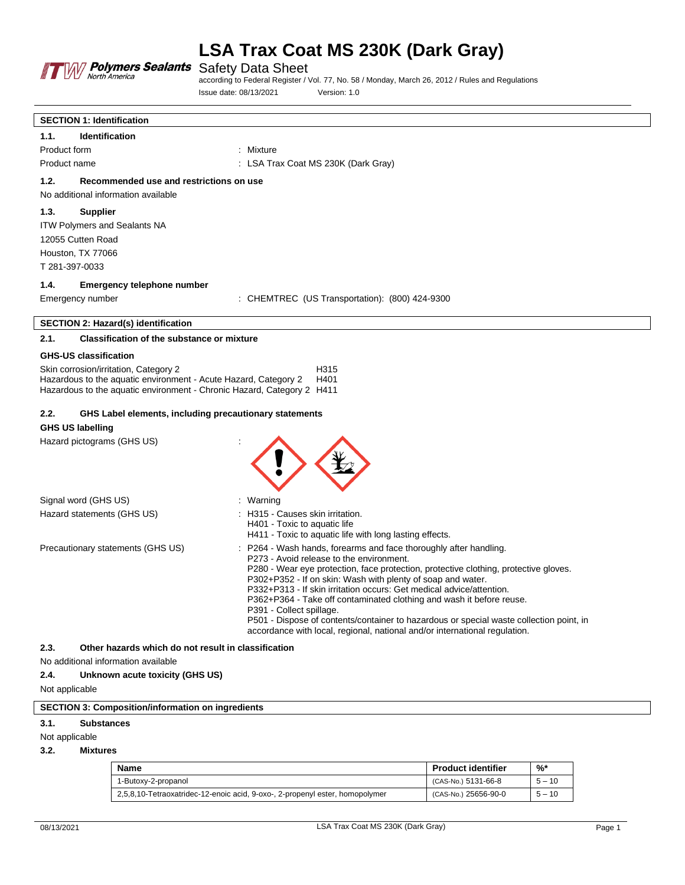

Safety Data Sheet

according to Federal Register / Vol. 77, No. 58 / Monday, March 26, 2012 / Rules and Regulations Issue date: 08/13/2021 Version: 1.0

| <b>SECTION 1: Identification</b>                                                                                                          |                                                                                                                                                                       |
|-------------------------------------------------------------------------------------------------------------------------------------------|-----------------------------------------------------------------------------------------------------------------------------------------------------------------------|
| <b>Identification</b><br>1.1.                                                                                                             |                                                                                                                                                                       |
| Product form                                                                                                                              | : Mixture                                                                                                                                                             |
| Product name                                                                                                                              | : LSA Trax Coat MS 230K (Dark Gray)                                                                                                                                   |
| 1.2.<br>Recommended use and restrictions on use                                                                                           |                                                                                                                                                                       |
| No additional information available                                                                                                       |                                                                                                                                                                       |
| 1.3.<br><b>Supplier</b>                                                                                                                   |                                                                                                                                                                       |
| <b>ITW Polymers and Sealants NA</b>                                                                                                       |                                                                                                                                                                       |
| 12055 Cutten Road                                                                                                                         |                                                                                                                                                                       |
| Houston, TX 77066                                                                                                                         |                                                                                                                                                                       |
| T 281-397-0033                                                                                                                            |                                                                                                                                                                       |
| 1.4.<br><b>Emergency telephone number</b>                                                                                                 |                                                                                                                                                                       |
| Emergency number                                                                                                                          | : CHEMTREC (US Transportation): (800) 424-9300                                                                                                                        |
| <b>SECTION 2: Hazard(s) identification</b>                                                                                                |                                                                                                                                                                       |
| 2.1.<br><b>Classification of the substance or mixture</b>                                                                                 |                                                                                                                                                                       |
| <b>GHS-US classification</b>                                                                                                              |                                                                                                                                                                       |
| Skin corrosion/irritation, Category 2                                                                                                     | H315                                                                                                                                                                  |
| Hazardous to the aquatic environment - Acute Hazard, Category 2<br>Hazardous to the aquatic environment - Chronic Hazard, Category 2 H411 | H401                                                                                                                                                                  |
|                                                                                                                                           |                                                                                                                                                                       |
| 2.2.<br>GHS Label elements, including precautionary statements                                                                            |                                                                                                                                                                       |
| <b>GHS US labelling</b>                                                                                                                   |                                                                                                                                                                       |
| Hazard pictograms (GHS US)                                                                                                                |                                                                                                                                                                       |
|                                                                                                                                           |                                                                                                                                                                       |
|                                                                                                                                           |                                                                                                                                                                       |
|                                                                                                                                           |                                                                                                                                                                       |
| Signal word (GHS US)                                                                                                                      | $:$ Warning                                                                                                                                                           |
| Hazard statements (GHS US)                                                                                                                | : H315 - Causes skin irritation.                                                                                                                                      |
|                                                                                                                                           | H401 - Toxic to aquatic life<br>H411 - Toxic to aquatic life with long lasting effects.                                                                               |
| Precautionary statements (GHS US)                                                                                                         | P264 - Wash hands, forearms and face thoroughly after handling.                                                                                                       |
|                                                                                                                                           | P273 - Avoid release to the environment.                                                                                                                              |
|                                                                                                                                           | P280 - Wear eye protection, face protection, protective clothing, protective gloves.                                                                                  |
|                                                                                                                                           | P302+P352 - If on skin: Wash with plenty of soap and water.<br>P332+P313 - If skin irritation occurs: Get medical advice/attention.                                   |
|                                                                                                                                           | P362+P364 - Take off contaminated clothing and wash it before reuse.                                                                                                  |
|                                                                                                                                           | P391 - Collect spillage.                                                                                                                                              |
|                                                                                                                                           | P501 - Dispose of contents/container to hazardous or special waste collection point, in<br>accordance with local, regional, national and/or international regulation. |
| 2.3.<br>Other hazards which do not result in classification                                                                               |                                                                                                                                                                       |
| No additional information available                                                                                                       |                                                                                                                                                                       |

# **2.4. Unknown acute toxicity (GHS US)**

Not applicable

# **SECTION 3: Composition/information on ingredients**

#### **3.1. Substances**

#### Not applicable

**3.2. Mixtures**

| Name                                                                         | <b>Product identifier</b> | %*       |
|------------------------------------------------------------------------------|---------------------------|----------|
| 1-Butoxy-2-propanol                                                          | (CAS-No.) 5131-66-8       | $5 - 10$ |
| 2,5,8,10-Tetraoxatridec-12-enoic acid, 9-oxo-, 2-propenyl ester, homopolymer | (CAS-No.) 25656-90-0      | $5 - 10$ |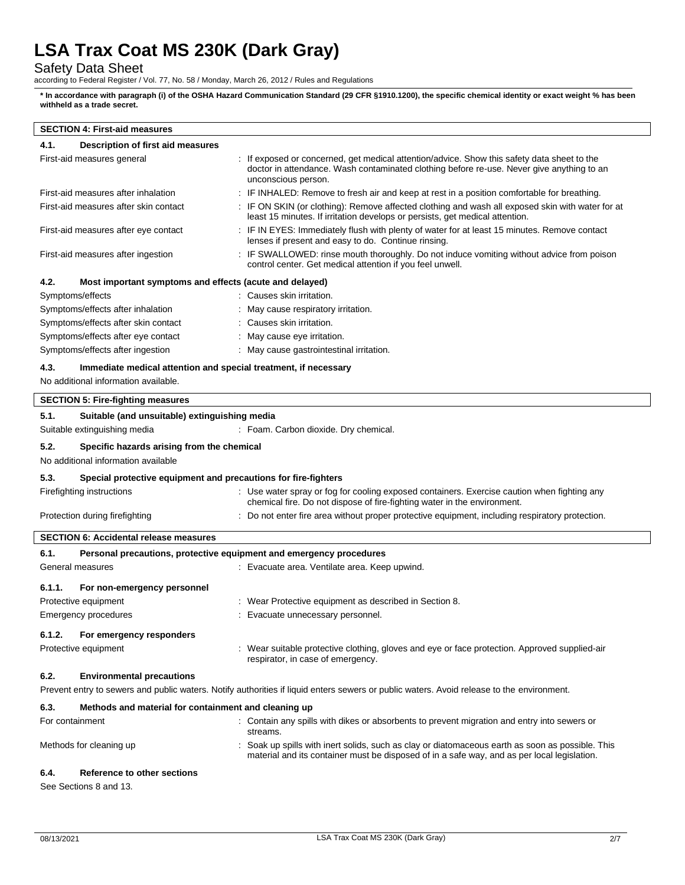Safety Data Sheet

according to Federal Register / Vol. 77, No. 58 / Monday, March 26, 2012 / Rules and Regulations

**\* In accordance with paragraph (i) of the OSHA Hazard Communication Standard (29 CFR §1910.1200), the specific chemical identity or exact weight % has been withheld as a trade secret.**

# **SECTION 4: First-aid measures**

| 4.1.   | Description of first aid measures                                   |                                                                                                                                                                                                                 |
|--------|---------------------------------------------------------------------|-----------------------------------------------------------------------------------------------------------------------------------------------------------------------------------------------------------------|
|        | First-aid measures general                                          | : If exposed or concerned, get medical attention/advice. Show this safety data sheet to the<br>doctor in attendance. Wash contaminated clothing before re-use. Never give anything to an<br>unconscious person. |
|        | First-aid measures after inhalation                                 | : IF INHALED: Remove to fresh air and keep at rest in a position comfortable for breathing.                                                                                                                     |
|        | First-aid measures after skin contact                               | : IF ON SKIN (or clothing): Remove affected clothing and wash all exposed skin with water for at<br>least 15 minutes. If irritation develops or persists, get medical attention.                                |
|        | First-aid measures after eye contact                                | : IF IN EYES: Immediately flush with plenty of water for at least 15 minutes. Remove contact<br>lenses if present and easy to do. Continue rinsing.                                                             |
|        | First-aid measures after ingestion                                  | : IF SWALLOWED: rinse mouth thoroughly. Do not induce vomiting without advice from poison<br>control center. Get medical attention if you feel unwell.                                                          |
| 4.2.   | Most important symptoms and effects (acute and delayed)             |                                                                                                                                                                                                                 |
|        | Symptoms/effects                                                    | : Causes skin irritation.                                                                                                                                                                                       |
|        | Symptoms/effects after inhalation                                   | : May cause respiratory irritation.                                                                                                                                                                             |
|        | Symptoms/effects after skin contact                                 | : Causes skin irritation.                                                                                                                                                                                       |
|        | Symptoms/effects after eye contact                                  | : May cause eye irritation.                                                                                                                                                                                     |
|        | Symptoms/effects after ingestion                                    | : May cause gastrointestinal irritation.                                                                                                                                                                        |
| 4.3.   | Immediate medical attention and special treatment, if necessary     |                                                                                                                                                                                                                 |
|        | No additional information available.                                |                                                                                                                                                                                                                 |
|        | <b>SECTION 5: Fire-fighting measures</b>                            |                                                                                                                                                                                                                 |
| 5.1.   | Suitable (and unsuitable) extinguishing media                       |                                                                                                                                                                                                                 |
|        | Suitable extinguishing media                                        | : Foam. Carbon dioxide. Dry chemical.                                                                                                                                                                           |
| 5.2.   | Specific hazards arising from the chemical                          |                                                                                                                                                                                                                 |
|        | No additional information available                                 |                                                                                                                                                                                                                 |
| 5.3.   | Special protective equipment and precautions for fire-fighters      |                                                                                                                                                                                                                 |
|        | Firefighting instructions                                           | : Use water spray or fog for cooling exposed containers. Exercise caution when fighting any<br>chemical fire. Do not dispose of fire-fighting water in the environment.                                         |
|        | Protection during firefighting                                      | : Do not enter fire area without proper protective equipment, including respiratory protection.                                                                                                                 |
|        | <b>SECTION 6: Accidental release measures</b>                       |                                                                                                                                                                                                                 |
| 6.1.   | Personal precautions, protective equipment and emergency procedures |                                                                                                                                                                                                                 |
|        | General measures                                                    | : Evacuate area. Ventilate area. Keep upwind.                                                                                                                                                                   |
| 6.1.1. | For non-emergency personnel                                         |                                                                                                                                                                                                                 |
|        | Protective equipment                                                | : Wear Protective equipment as described in Section 8.                                                                                                                                                          |
|        | <b>Emergency procedures</b>                                         | : Evacuate unnecessary personnel.                                                                                                                                                                               |
|        | 6.1.2. For emergency responders                                     |                                                                                                                                                                                                                 |
|        | Protective equipment                                                | : Wear suitable protective clothing, gloves and eye or face protection. Approved supplied-air<br>respirator, in case of emergency.                                                                              |
| 6.2.   | <b>Environmental precautions</b>                                    | Prevent entry to sewers and public waters. Notify authorities if liquid enters sewers or public waters. Avoid release to the environment.                                                                       |
|        |                                                                     |                                                                                                                                                                                                                 |
| 6.3.   | Methods and material for containment and cleaning up                |                                                                                                                                                                                                                 |
|        | For containment                                                     | : Contain any spills with dikes or absorbents to prevent migration and entry into sewers or<br>streams.                                                                                                         |
|        | Methods for cleaning up                                             | Soak up spills with inert solids, such as clay or diatomaceous earth as soon as possible. This<br>material and its container must be disposed of in a safe way, and as per local legislation.                   |
| 6.4.   | <b>Reference to other sections</b>                                  |                                                                                                                                                                                                                 |

See Sections 8 and 13.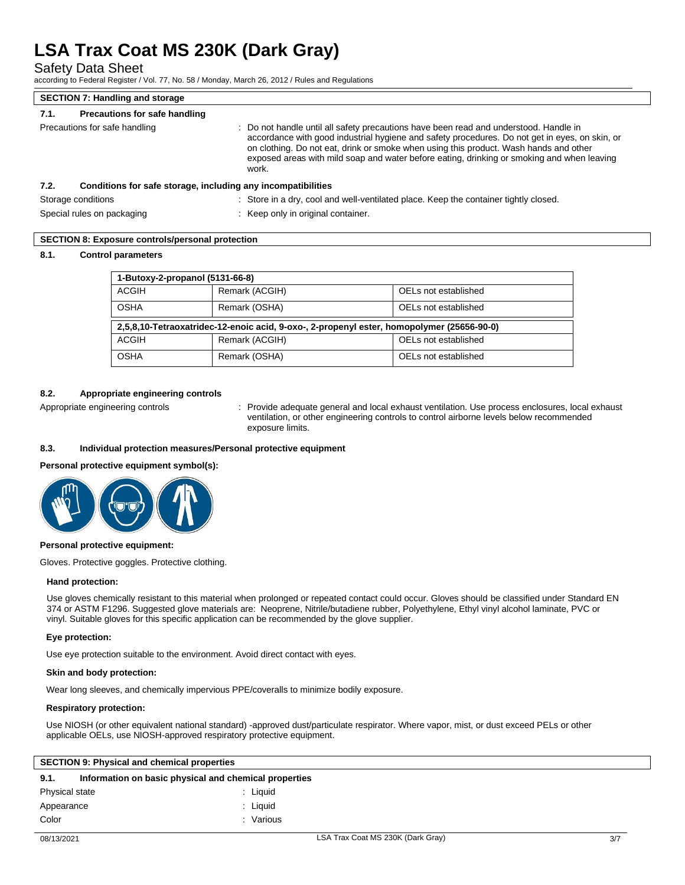Safety Data Sheet

according to Federal Register / Vol. 77, No. 58 / Monday, March 26, 2012 / Rules and Regulations

| <b>SECTION 7: Handling and storage</b>                               |                                                                                                                                                                                                                                                                                                                                                                                         |
|----------------------------------------------------------------------|-----------------------------------------------------------------------------------------------------------------------------------------------------------------------------------------------------------------------------------------------------------------------------------------------------------------------------------------------------------------------------------------|
| Precautions for safe handling<br>7.1.                                |                                                                                                                                                                                                                                                                                                                                                                                         |
| Precautions for safe handling                                        | : Do not handle until all safety precautions have been read and understood. Handle in<br>accordance with good industrial hygiene and safety procedures. Do not get in eyes, on skin, or<br>on clothing. Do not eat, drink or smoke when using this product. Wash hands and other<br>exposed areas with mild soap and water before eating, drinking or smoking and when leaving<br>work. |
| Conditions for safe storage, including any incompatibilities<br>7.2. |                                                                                                                                                                                                                                                                                                                                                                                         |
| Storage conditions                                                   | : Store in a dry, cool and well-ventilated place. Keep the container tightly closed.                                                                                                                                                                                                                                                                                                    |

Special rules on packaging states on the Special rules on packaging states on the Keep only in original container.

# **SECTION 8: Exposure controls/personal protection**

### **8.1. Control parameters**

| 1-Butoxy-2-propanol (5131-66-8) |                                                                                           |                      |  |  |
|---------------------------------|-------------------------------------------------------------------------------------------|----------------------|--|--|
| ACGIH                           | Remark (ACGIH)                                                                            | OELs not established |  |  |
| OSHA                            | Remark (OSHA)                                                                             | OELs not established |  |  |
|                                 |                                                                                           |                      |  |  |
|                                 | 2,5,8,10-Tetraoxatridec-12-enoic acid, 9-oxo-, 2-propenyl ester, homopolymer (25656-90-0) |                      |  |  |
| ACGIH                           | Remark (ACGIH)                                                                            | OELs not established |  |  |

### **8.2. Appropriate engineering controls**

Appropriate engineering controls : Provide adequate general and local exhaust ventilation. Use process enclosures, local exhaust ventilation, or other engineering controls to control airborne levels below recommended exposure limits.

### **8.3. Individual protection measures/Personal protective equipment**

#### **Personal protective equipment symbol(s):**



#### **Personal protective equipment:**

Gloves. Protective goggles. Protective clothing.

#### **Hand protection:**

Use gloves chemically resistant to this material when prolonged or repeated contact could occur. Gloves should be classified under Standard EN 374 or ASTM F1296. Suggested glove materials are: Neoprene, Nitrile/butadiene rubber, Polyethylene, Ethyl vinyl alcohol laminate, PVC or vinyl. Suitable gloves for this specific application can be recommended by the glove supplier.

#### **Eye protection:**

Use eye protection suitable to the environment. Avoid direct contact with eyes.

#### **Skin and body protection:**

Wear long sleeves, and chemically impervious PPE/coveralls to minimize bodily exposure.

#### **Respiratory protection:**

Use NIOSH (or other equivalent national standard) -approved dust/particulate respirator. Where vapor, mist, or dust exceed PELs or other applicable OELs, use NIOSH-approved respiratory protective equipment.

| <b>SECTION 9: Physical and chemical properties</b>            |         |  |
|---------------------------------------------------------------|---------|--|
| 9.1.<br>Information on basic physical and chemical properties |         |  |
| Physical state                                                | Liguid  |  |
| Appearance                                                    | Liauid  |  |
| Color                                                         | Various |  |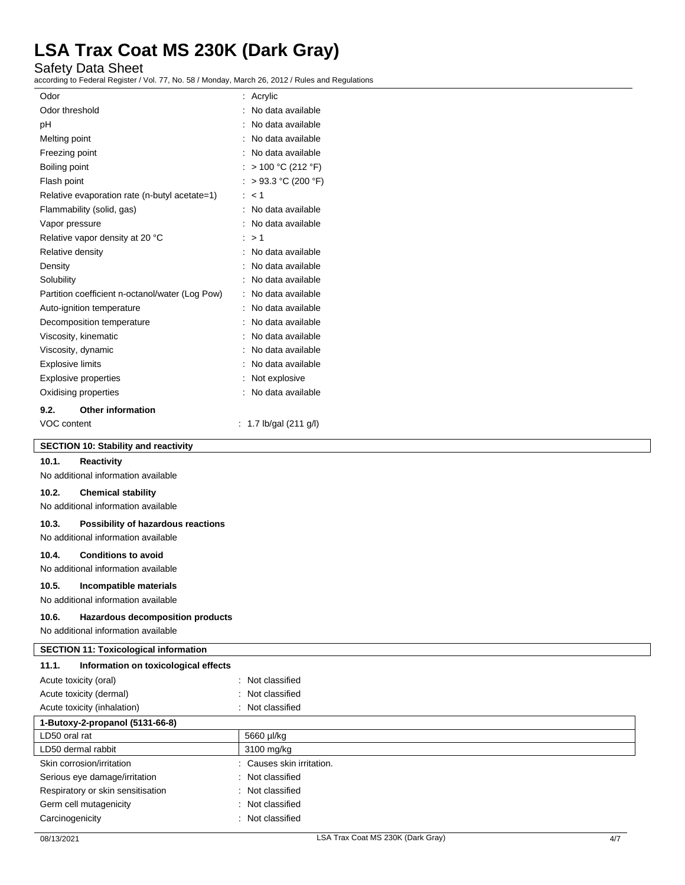Safety Data Sheet

according to Federal Register / Vol. 77, No. 58 / Monday, March 26, 2012 / Rules and Regulations

| Odor                    |                                                 |   | Acrylic              |
|-------------------------|-------------------------------------------------|---|----------------------|
| Odor threshold          |                                                 |   | No data available    |
| рH                      |                                                 |   | No data available    |
| Melting point           |                                                 |   | No data available    |
| Freezing point          |                                                 |   | : No data available  |
| Boiling point           |                                                 |   | > 100 °C (212 °F)    |
| Flash point             |                                                 |   | $> 93.3$ °C (200 °F) |
|                         | Relative evaporation rate (n-butyl acetate=1)   | ÷ | $<$ 1                |
|                         | Flammability (solid, gas)                       |   | No data available    |
| Vapor pressure          |                                                 |   | No data available    |
|                         | Relative vapor density at 20 °C                 |   | >1                   |
| Relative density        |                                                 |   | No data available    |
| Density                 |                                                 |   | No data available    |
| Solubility              |                                                 |   | No data available    |
|                         | Partition coefficient n-octanol/water (Log Pow) | t | No data available    |
|                         | Auto-ignition temperature                       |   | No data available    |
|                         | Decomposition temperature                       |   | No data available    |
|                         | Viscosity, kinematic                            |   | No data available    |
| Viscosity, dynamic      |                                                 |   | No data available    |
| <b>Explosive limits</b> |                                                 |   | No data available    |
|                         | <b>Explosive properties</b>                     |   | Not explosive        |
|                         | Oxidising properties                            |   | No data available    |
| 9.2.                    | <b>Other information</b>                        |   |                      |
| VOC content             |                                                 |   | 1.7 lb/gal (211 g/l) |

### **SECTION 10: Stability and reactivity**

#### **10.1. Reactivity**

No additional information available

#### **10.2. Chemical stability**

No additional information available

#### **10.3. Possibility of hazardous reactions**

No additional information available

#### **10.4. Conditions to avoid**

No additional information available

# **10.5. Incompatible materials**

No additional information available

#### **10.6. Hazardous decomposition products**

No additional information available

#### **SECTION 11: Toxicological information**

| Information on toxicological effects<br>11.1. |                           |
|-----------------------------------------------|---------------------------|
| Acute toxicity (oral)                         | : Not classified          |
| Acute toxicity (dermal)                       | : Not classified          |
| Acute toxicity (inhalation)                   | : Not classified          |
| 1-Butoxy-2-propanol (5131-66-8)               |                           |
| LD50 oral rat                                 | 5660 µl/kg                |
| LD50 dermal rabbit                            | 3100 mg/kg                |
| Skin corrosion/irritation                     | : Causes skin irritation. |
| Serious eye damage/irritation                 | : Not classified          |
| Respiratory or skin sensitisation             | : Not classified          |
| Germ cell mutagenicity                        | : Not classified          |
| Carcinogenicity                               | : Not classified          |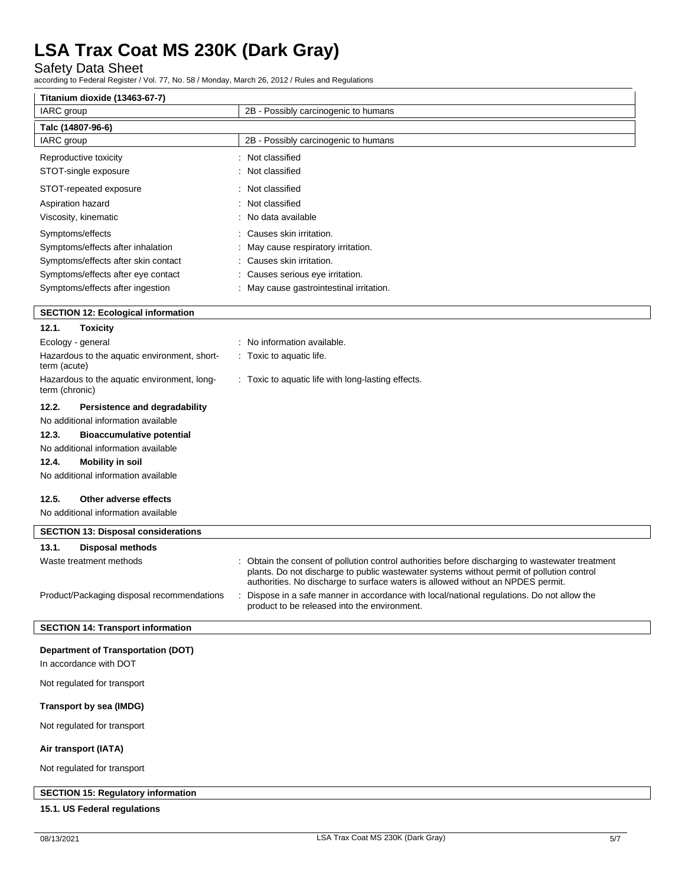Safety Data Sheet

according to Federal Register / Vol. 77, No. 58 / Monday, March 26, 2012 / Rules and Regulations

| IARC group                          | 2B - Possibly carcinogenic to humans     |  |
|-------------------------------------|------------------------------------------|--|
| Talc (14807-96-6)                   |                                          |  |
| IARC group                          | 2B - Possibly carcinogenic to humans     |  |
| Reproductive toxicity               | : Not classified                         |  |
| STOT-single exposure                | : Not classified                         |  |
| STOT-repeated exposure              | : Not classified                         |  |
| Aspiration hazard                   | : Not classified                         |  |
| Viscosity, kinematic                | : No data available                      |  |
| Symptoms/effects                    | Causes skin irritation.<br>÷             |  |
| Symptoms/effects after inhalation   | : May cause respiratory irritation.      |  |
| Symptoms/effects after skin contact | : Causes skin irritation.                |  |
| Symptoms/effects after eye contact  | Causes serious eye irritation.           |  |
| Symptoms/effects after ingestion    | : May cause gastrointestinal irritation. |  |

|  |  |  |  | <b>SECTION 12: Ecological information</b> |
|--|--|--|--|-------------------------------------------|
|--|--|--|--|-------------------------------------------|

| 12.1.             | Toxicity                                     |                                                                                                                                                                                                                                                                                  |
|-------------------|----------------------------------------------|----------------------------------------------------------------------------------------------------------------------------------------------------------------------------------------------------------------------------------------------------------------------------------|
| Ecology - general |                                              | : No information available.                                                                                                                                                                                                                                                      |
| term (acute)      | Hazardous to the aquatic environment, short- | . Toxic to aquatic life.                                                                                                                                                                                                                                                         |
| term (chronic)    | Hazardous to the aquatic environment, long-  | : Toxic to aquatic life with long-lasting effects.                                                                                                                                                                                                                               |
| 12.2.             | Persistence and degradability                |                                                                                                                                                                                                                                                                                  |
|                   | No additional information available          |                                                                                                                                                                                                                                                                                  |
| 12.3.             | <b>Bioaccumulative potential</b>             |                                                                                                                                                                                                                                                                                  |
|                   | No additional information available          |                                                                                                                                                                                                                                                                                  |
| 12.4.             | <b>Mobility in soil</b>                      |                                                                                                                                                                                                                                                                                  |
|                   | No additional information available          |                                                                                                                                                                                                                                                                                  |
| 12.5.             | Other adverse effects                        |                                                                                                                                                                                                                                                                                  |
|                   | No additional information available          |                                                                                                                                                                                                                                                                                  |
|                   | <b>SECTION 13: Disposal considerations</b>   |                                                                                                                                                                                                                                                                                  |
| 13.1.             | <b>Disposal methods</b>                      |                                                                                                                                                                                                                                                                                  |
|                   | Waste treatment methods                      | : Obtain the consent of pollution control authorities before discharging to wastewater treatment<br>plants. Do not discharge to public wastewater systems without permit of pollution control<br>authorities. No discharge to surface waters is allowed without an NPDES permit. |
|                   | Product/Packaging disposal recommendations   | Dispose in a safe manner in accordance with local/national regulations. Do not allow the<br>product to be released into the environment.                                                                                                                                         |

# **SECTION 14: Transport information**

#### **Department of Transportation (DOT)**

In accordance with DOT

Not regulated for transport

# **Transport by sea (IMDG)**

Not regulated for transport

#### **Air transport (IATA)**

Not regulated for transport

# **SECTION 15: Regulatory information**

### **15.1. US Federal regulations**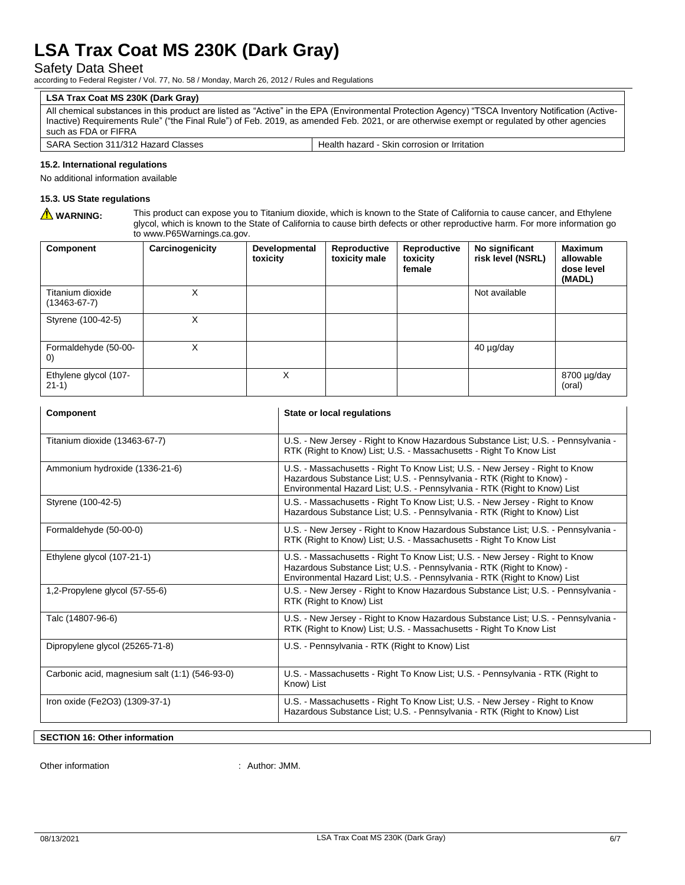# Safety Data Sheet

according to Federal Register / Vol. 77, No. 58 / Monday, March 26, 2012 / Rules and Regulations

# **LSA Trax Coat MS 230K (Dark Gray)**

All chemical substances in this product are listed as "Active" in the EPA (Environmental Protection Agency) "TSCA Inventory Notification (Active-Inactive) Requirements Rule" ("the Final Rule") of Feb. 2019, as amended Feb. 2021, or are otherwise exempt or regulated by other agencies such as FDA or FIFRA

| Classes<br><b>SARA</b><br>1010L<br>- הור<br>Hazard<br>$\mathbf{a}$<br>Section<br>.<br>17 J I | Clin<br>Health<br>hazaro<br>or Irritation<br>i corrosion<br>بنتكاث |
|----------------------------------------------------------------------------------------------|--------------------------------------------------------------------|
|----------------------------------------------------------------------------------------------|--------------------------------------------------------------------|

### **15.2. International regulations**

No additional information available

# **15.3. US State regulations**

WARNING: This product can expose you to Titanium dioxide, which is known to the State of California to cause cancer, and Ethylene glycol, which is known to the State of California to cause birth defects or other reproductive harm. For more information go to www.P65Warnings.ca.gov.

| Component                                 | Carcinogenicity | Developmental<br>toxicity | Reproductive<br>toxicity male | Reproductive<br>toxicity<br>female | No significant<br>risk level (NSRL) | <b>Maximum</b><br>allowable<br>dose level<br>(MADL) |
|-------------------------------------------|-----------------|---------------------------|-------------------------------|------------------------------------|-------------------------------------|-----------------------------------------------------|
| Titanium dioxide<br>$(13463 - 67 - 7)$    | X               |                           |                               |                                    | Not available                       |                                                     |
| Styrene (100-42-5)                        | Χ               |                           |                               |                                    |                                     |                                                     |
| Formaldehyde (50-00-<br>$\left( 0\right)$ | x               |                           |                               |                                    | $40 \mu g/day$                      |                                                     |
| Ethylene glycol (107-<br>$21-1)$          |                 | X                         |                               |                                    |                                     | 8700 µg/day<br>(oral)                               |

| Component                                      | State or local regulations                                                                                                                                                                                                         |  |  |  |
|------------------------------------------------|------------------------------------------------------------------------------------------------------------------------------------------------------------------------------------------------------------------------------------|--|--|--|
| Titanium dioxide (13463-67-7)                  | U.S. - New Jersey - Right to Know Hazardous Substance List; U.S. - Pennsylvania -<br>RTK (Right to Know) List; U.S. - Massachusetts - Right To Know List                                                                           |  |  |  |
| Ammonium hydroxide (1336-21-6)                 | U.S. - Massachusetts - Right To Know List; U.S. - New Jersey - Right to Know<br>Hazardous Substance List; U.S. - Pennsylvania - RTK (Right to Know) -<br>Environmental Hazard List; U.S. - Pennsylvania - RTK (Right to Know) List |  |  |  |
| Styrene (100-42-5)                             | U.S. - Massachusetts - Right To Know List; U.S. - New Jersey - Right to Know<br>Hazardous Substance List; U.S. - Pennsylvania - RTK (Right to Know) List                                                                           |  |  |  |
| Formaldehyde (50-00-0)                         | U.S. - New Jersey - Right to Know Hazardous Substance List; U.S. - Pennsylvania -<br>RTK (Right to Know) List; U.S. - Massachusetts - Right To Know List                                                                           |  |  |  |
| Ethylene glycol (107-21-1)                     | U.S. - Massachusetts - Right To Know List; U.S. - New Jersey - Right to Know<br>Hazardous Substance List; U.S. - Pennsylvania - RTK (Right to Know) -<br>Environmental Hazard List; U.S. - Pennsylvania - RTK (Right to Know) List |  |  |  |
| 1,2-Propylene glycol (57-55-6)                 | U.S. - New Jersey - Right to Know Hazardous Substance List; U.S. - Pennsylvania -<br>RTK (Right to Know) List                                                                                                                      |  |  |  |
| Talc (14807-96-6)                              | U.S. - New Jersey - Right to Know Hazardous Substance List; U.S. - Pennsylvania -<br>RTK (Right to Know) List; U.S. - Massachusetts - Right To Know List                                                                           |  |  |  |
| Dipropylene glycol (25265-71-8)                | U.S. - Pennsylvania - RTK (Right to Know) List                                                                                                                                                                                     |  |  |  |
| Carbonic acid, magnesium salt (1:1) (546-93-0) | U.S. - Massachusetts - Right To Know List; U.S. - Pennsylvania - RTK (Right to<br>Know) List                                                                                                                                       |  |  |  |
| Iron oxide (Fe2O3) (1309-37-1)                 | U.S. - Massachusetts - Right To Know List; U.S. - New Jersey - Right to Know<br>Hazardous Substance List; U.S. - Pennsylvania - RTK (Right to Know) List                                                                           |  |  |  |

#### **SECTION 16: Other information**

Other information  $\blacksquare$  : Author: JMM.